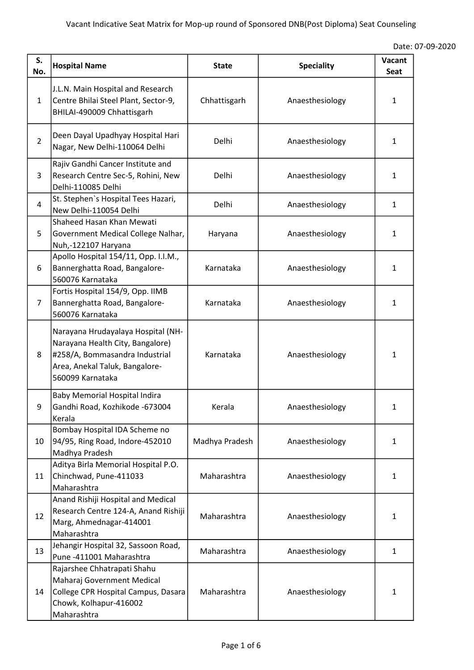|  | Date: 07-09-2020 |
|--|------------------|
|--|------------------|

| S.<br>No.      | <b>Hospital Name</b>                                                                                                                                           | <b>State</b>   | <b>Speciality</b> | Vacant<br>Seat |
|----------------|----------------------------------------------------------------------------------------------------------------------------------------------------------------|----------------|-------------------|----------------|
| $\mathbf{1}$   | J.L.N. Main Hospital and Research<br>Centre Bhilai Steel Plant, Sector-9,<br>BHILAI-490009 Chhattisgarh                                                        | Chhattisgarh   | Anaesthesiology   | 1              |
| $\overline{2}$ | Deen Dayal Upadhyay Hospital Hari<br>Nagar, New Delhi-110064 Delhi                                                                                             | Delhi          | Anaesthesiology   | 1              |
| 3              | Rajiv Gandhi Cancer Institute and<br>Research Centre Sec-5, Rohini, New<br>Delhi-110085 Delhi                                                                  | Delhi          | Anaesthesiology   | 1              |
| 4              | St. Stephen's Hospital Tees Hazari,<br>New Delhi-110054 Delhi                                                                                                  | Delhi          | Anaesthesiology   | 1              |
| 5              | Shaheed Hasan Khan Mewati<br>Government Medical College Nalhar,<br>Nuh,-122107 Haryana                                                                         | Haryana        | Anaesthesiology   | 1              |
| 6              | Apollo Hospital 154/11, Opp. I.I.M.,<br>Bannerghatta Road, Bangalore-<br>560076 Karnataka                                                                      | Karnataka      | Anaesthesiology   | 1              |
| $\overline{7}$ | Fortis Hospital 154/9, Opp. IIMB<br>Bannerghatta Road, Bangalore-<br>560076 Karnataka                                                                          | Karnataka      | Anaesthesiology   | 1              |
| 8              | Narayana Hrudayalaya Hospital (NH-<br>Narayana Health City, Bangalore)<br>#258/A, Bommasandra Industrial<br>Area, Anekal Taluk, Bangalore-<br>560099 Karnataka | Karnataka      | Anaesthesiology   | 1              |
| q              | <b>Baby Memorial Hospital Indira</b><br>Gandhi Road, Kozhikode -673004<br>Kerala                                                                               | Kerala         | Anaesthesiology   | 1              |
| 10             | Bombay Hospital IDA Scheme no<br>94/95, Ring Road, Indore-452010<br>Madhya Pradesh                                                                             | Madhya Pradesh | Anaesthesiology   | 1              |
| 11             | Aditya Birla Memorial Hospital P.O.<br>Chinchwad, Pune-411033<br>Maharashtra                                                                                   | Maharashtra    | Anaesthesiology   | 1              |
| 12             | Anand Rishiji Hospital and Medical<br>Research Centre 124-A, Anand Rishiji<br>Marg, Ahmednagar-414001<br>Maharashtra                                           | Maharashtra    | Anaesthesiology   | 1              |
| 13             | Jehangir Hospital 32, Sassoon Road,<br>Pune -411001 Maharashtra                                                                                                | Maharashtra    | Anaesthesiology   | $\mathbf{1}$   |
| 14             | Rajarshee Chhatrapati Shahu<br>Maharaj Government Medical<br>College CPR Hospital Campus, Dasara<br>Chowk, Kolhapur-416002<br>Maharashtra                      | Maharashtra    | Anaesthesiology   | 1              |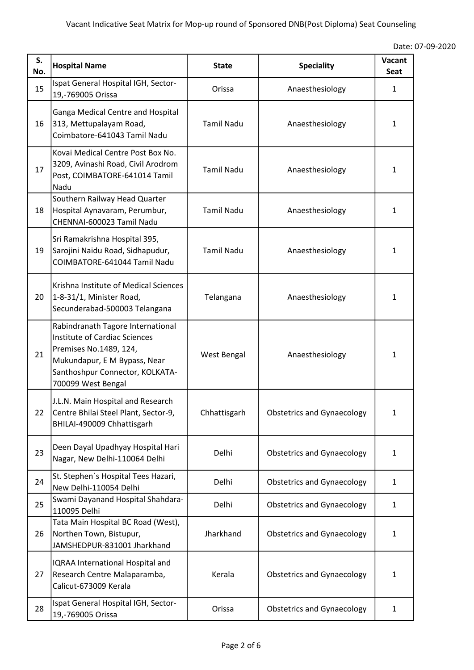|  | Date: 07-09-2020 |
|--|------------------|
|--|------------------|

| S.<br>No. | <b>Hospital Name</b>                                                                                                                                                                         | <b>State</b>      | <b>Speciality</b>                 | Vacant<br>Seat |
|-----------|----------------------------------------------------------------------------------------------------------------------------------------------------------------------------------------------|-------------------|-----------------------------------|----------------|
| 15        | Ispat General Hospital IGH, Sector-<br>19,-769005 Orissa                                                                                                                                     | Orissa            | Anaesthesiology                   | 1              |
| 16        | Ganga Medical Centre and Hospital<br>313, Mettupalayam Road,<br>Coimbatore-641043 Tamil Nadu                                                                                                 | <b>Tamil Nadu</b> | Anaesthesiology                   | 1              |
| 17        | Kovai Medical Centre Post Box No.<br>3209, Avinashi Road, Civil Arodrom<br>Post, COIMBATORE-641014 Tamil<br>Nadu                                                                             | <b>Tamil Nadu</b> | Anaesthesiology                   | 1              |
| 18        | Southern Railway Head Quarter<br>Hospital Aynavaram, Perumbur,<br>CHENNAI-600023 Tamil Nadu                                                                                                  | <b>Tamil Nadu</b> | Anaesthesiology                   | 1              |
| 19        | Sri Ramakrishna Hospital 395,<br>Sarojini Naidu Road, Sidhapudur,<br>COIMBATORE-641044 Tamil Nadu                                                                                            | <b>Tamil Nadu</b> | Anaesthesiology                   | 1              |
| 20        | Krishna Institute of Medical Sciences<br>1-8-31/1, Minister Road,<br>Secunderabad-500003 Telangana                                                                                           | Telangana         | Anaesthesiology                   | 1              |
| 21        | Rabindranath Tagore International<br><b>Institute of Cardiac Sciences</b><br>Premises No.1489, 124,<br>Mukundapur, E M Bypass, Near<br>Santhoshpur Connector, KOLKATA-<br>700099 West Bengal | West Bengal       | Anaesthesiology                   | 1              |
| 22        | J.L.N. Main Hospital and Research<br>Centre Bhilai Steel Plant, Sector-9,<br>BHILAI-490009 Chhattisgarh                                                                                      | Chhattisgarh      | <b>Obstetrics and Gynaecology</b> | 1              |
| 23        | Deen Dayal Upadhyay Hospital Hari<br>Nagar, New Delhi-110064 Delhi                                                                                                                           | Delhi             | <b>Obstetrics and Gynaecology</b> | $\mathbf{1}$   |
| 24        | St. Stephen's Hospital Tees Hazari,<br>New Delhi-110054 Delhi                                                                                                                                | Delhi             | <b>Obstetrics and Gynaecology</b> | 1              |
| 25        | Swami Dayanand Hospital Shahdara-<br>110095 Delhi                                                                                                                                            | Delhi             | <b>Obstetrics and Gynaecology</b> | 1              |
| 26        | Tata Main Hospital BC Road (West),<br>Northen Town, Bistupur,<br>JAMSHEDPUR-831001 Jharkhand                                                                                                 | Jharkhand         | <b>Obstetrics and Gynaecology</b> | 1              |
| 27        | IQRAA International Hospital and<br>Research Centre Malaparamba,<br>Calicut-673009 Kerala                                                                                                    | Kerala            | <b>Obstetrics and Gynaecology</b> | $\mathbf{1}$   |
| 28        | Ispat General Hospital IGH, Sector-<br>19,-769005 Orissa                                                                                                                                     | Orissa            | <b>Obstetrics and Gynaecology</b> | 1              |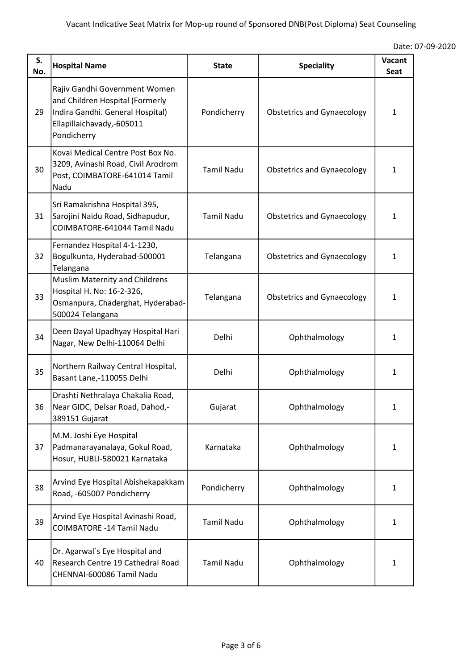|  | Date: 07-09-2020 |
|--|------------------|
|--|------------------|

| S.<br>No. | <b>Hospital Name</b>                                                                                                                             | <b>State</b>      | <b>Speciality</b>                 | Vacant<br><b>Seat</b> |
|-----------|--------------------------------------------------------------------------------------------------------------------------------------------------|-------------------|-----------------------------------|-----------------------|
| 29        | Rajiv Gandhi Government Women<br>and Children Hospital (Formerly<br>Indira Gandhi. General Hospital)<br>Ellapillaichavady,-605011<br>Pondicherry | Pondicherry       | <b>Obstetrics and Gynaecology</b> | 1                     |
| 30        | Kovai Medical Centre Post Box No.<br>3209, Avinashi Road, Civil Arodrom<br>Post, COIMBATORE-641014 Tamil<br>Nadu                                 | <b>Tamil Nadu</b> | <b>Obstetrics and Gynaecology</b> | 1                     |
| 31        | Sri Ramakrishna Hospital 395,<br>Sarojini Naidu Road, Sidhapudur,<br>COIMBATORE-641044 Tamil Nadu                                                | <b>Tamil Nadu</b> | <b>Obstetrics and Gynaecology</b> | $\mathbf{1}$          |
| 32        | Fernandez Hospital 4-1-1230,<br>Bogulkunta, Hyderabad-500001<br>Telangana                                                                        | Telangana         | <b>Obstetrics and Gynaecology</b> | 1                     |
| 33        | Muslim Maternity and Childrens<br>Hospital H. No: 16-2-326,<br>Osmanpura, Chaderghat, Hyderabad-<br>500024 Telangana                             | Telangana         | <b>Obstetrics and Gynaecology</b> | 1                     |
| 34        | Deen Dayal Upadhyay Hospital Hari<br>Nagar, New Delhi-110064 Delhi                                                                               | Delhi             | Ophthalmology                     | 1                     |
| 35        | Northern Railway Central Hospital,<br>Basant Lane,-110055 Delhi                                                                                  | Delhi             | Ophthalmology                     | 1                     |
| 36        | Drashti Nethralaya Chakalia Road,<br>Near GIDC, Delsar Road, Dahod,-<br>389151 Gujarat                                                           | Gujarat           | Ophthalmology                     | 1                     |
| 37        | M.M. Joshi Eye Hospital<br>Padmanarayanalaya, Gokul Road,<br>Hosur, HUBLI-580021 Karnataka                                                       | Karnataka         | Ophthalmology                     | $\mathbf{1}$          |
| 38        | Arvind Eye Hospital Abishekapakkam<br>Road, -605007 Pondicherry                                                                                  | Pondicherry       | Ophthalmology                     | 1                     |
| 39        | Arvind Eye Hospital Avinashi Road,<br><b>COIMBATORE -14 Tamil Nadu</b>                                                                           | <b>Tamil Nadu</b> | Ophthalmology                     | 1                     |
| 40        | Dr. Agarwal's Eye Hospital and<br>Research Centre 19 Cathedral Road<br>CHENNAI-600086 Tamil Nadu                                                 | <b>Tamil Nadu</b> | Ophthalmology                     | 1                     |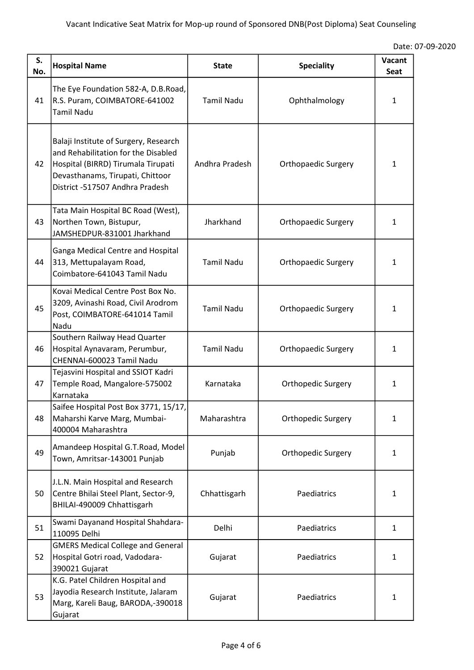|  | Date: 07-09-2020 |
|--|------------------|
|--|------------------|

| S.<br>No. | <b>Hospital Name</b>                                                                                                                                                                      | <b>State</b>      | <b>Speciality</b>          | Vacant<br>Seat |
|-----------|-------------------------------------------------------------------------------------------------------------------------------------------------------------------------------------------|-------------------|----------------------------|----------------|
| 41        | The Eye Foundation 582-A, D.B.Road,<br>R.S. Puram, COIMBATORE-641002<br><b>Tamil Nadu</b>                                                                                                 | <b>Tamil Nadu</b> | Ophthalmology              | $\mathbf{1}$   |
| 42        | Balaji Institute of Surgery, Research<br>and Rehabilitation for the Disabled<br>Hospital (BIRRD) Tirumala Tirupati<br>Devasthanams, Tirupati, Chittoor<br>District -517507 Andhra Pradesh | Andhra Pradesh    | <b>Orthopaedic Surgery</b> | 1              |
| 43        | Tata Main Hospital BC Road (West),<br>Northen Town, Bistupur,<br>JAMSHEDPUR-831001 Jharkhand                                                                                              | Jharkhand         | <b>Orthopaedic Surgery</b> | 1              |
| 44        | Ganga Medical Centre and Hospital<br>313, Mettupalayam Road,<br>Coimbatore-641043 Tamil Nadu                                                                                              | <b>Tamil Nadu</b> | <b>Orthopaedic Surgery</b> | 1              |
| 45        | Kovai Medical Centre Post Box No.<br>3209, Avinashi Road, Civil Arodrom<br>Post, COIMBATORE-641014 Tamil<br>Nadu                                                                          | <b>Tamil Nadu</b> | <b>Orthopaedic Surgery</b> | $\mathbf{1}$   |
| 46        | Southern Railway Head Quarter<br>Hospital Aynavaram, Perumbur,<br>CHENNAI-600023 Tamil Nadu                                                                                               | <b>Tamil Nadu</b> | <b>Orthopaedic Surgery</b> | 1              |
| 47        | Tejasvini Hospital and SSIOT Kadri<br>Temple Road, Mangalore-575002<br>Karnataka                                                                                                          | Karnataka         | Orthopedic Surgery         | 1              |
| 48        | Saifee Hospital Post Box 3771, 15/17,<br>Maharshi Karve Marg, Mumbai-<br>400004 Maharashtra                                                                                               | Maharashtra       | Orthopedic Surgery         | $\mathbf{1}$   |
| 49        | Amandeep Hospital G.T.Road, Model<br>Town, Amritsar-143001 Punjab                                                                                                                         | Punjab            | Orthopedic Surgery         | 1              |
| 50        | J.L.N. Main Hospital and Research<br>Centre Bhilai Steel Plant, Sector-9,<br>BHILAI-490009 Chhattisgarh                                                                                   | Chhattisgarh      | Paediatrics                | 1              |
| 51        | Swami Dayanand Hospital Shahdara-<br>110095 Delhi                                                                                                                                         | Delhi             | Paediatrics                | $\mathbf{1}$   |
| 52        | <b>GMERS Medical College and General</b><br>Hospital Gotri road, Vadodara-<br>390021 Gujarat                                                                                              | Gujarat           | Paediatrics                | $\mathbf{1}$   |
| 53        | K.G. Patel Children Hospital and<br>Jayodia Research Institute, Jalaram<br>Marg, Kareli Baug, BARODA,-390018<br>Gujarat                                                                   | Gujarat           | Paediatrics                | 1              |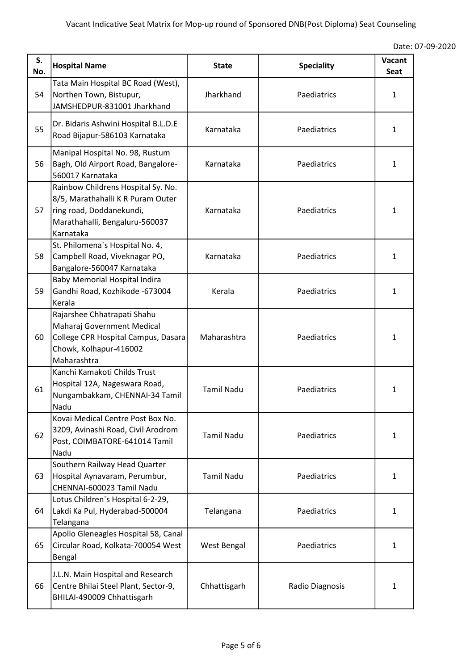|  | Date: 07-09-2020 |  |
|--|------------------|--|
|--|------------------|--|

| S.<br>No. | <b>Hospital Name</b>                                                                                                                               | <b>State</b>      | <b>Speciality</b> | Vacant<br>Seat |
|-----------|----------------------------------------------------------------------------------------------------------------------------------------------------|-------------------|-------------------|----------------|
| 54        | Tata Main Hospital BC Road (West),<br>Northen Town, Bistupur,<br>JAMSHEDPUR-831001 Jharkhand                                                       | Jharkhand         | Paediatrics       | 1              |
| 55        | Dr. Bidaris Ashwini Hospital B.L.D.E<br>Road Bijapur-586103 Karnataka                                                                              | Karnataka         | Paediatrics       | 1              |
| 56        | Manipal Hospital No. 98, Rustum<br>Bagh, Old Airport Road, Bangalore-<br>560017 Karnataka                                                          | Karnataka         | Paediatrics       | 1              |
| 57        | Rainbow Childrens Hospital Sy. No.<br>8/5, Marathahalli K R Puram Outer<br>ring road, Doddanekundi,<br>Marathahalli, Bengaluru-560037<br>Karnataka | Karnataka         | Paediatrics       | 1              |
| 58        | St. Philomena's Hospital No. 4,<br>Campbell Road, Viveknagar PO,<br>Bangalore-560047 Karnataka                                                     | Karnataka         | Paediatrics       | 1              |
| 59        | <b>Baby Memorial Hospital Indira</b><br>Gandhi Road, Kozhikode -673004<br>Kerala                                                                   | Kerala            | Paediatrics       | 1              |
| 60        | Rajarshee Chhatrapati Shahu<br>Maharaj Government Medical<br>College CPR Hospital Campus, Dasara<br>Chowk, Kolhapur-416002<br>Maharashtra          | Maharashtra       | Paediatrics       | 1              |
| 61        | Kanchi Kamakoti Childs Trust<br>Hospital 12A, Nageswara Road,<br>Nungambakkam, CHENNAI-34 Tamil<br>Nadu                                            | <b>Tamil Nadu</b> | Paediatrics       | 1              |
| 62        | Kovai Medical Centre Post Box No.<br>3209, Avinashi Road, Civil Arodrom<br>Post, COIMBATORE-641014 Tamil<br>Nadu                                   | <b>Tamil Nadu</b> | Paediatrics       | 1              |
| 63        | Southern Railway Head Quarter<br>Hospital Aynavaram, Perumbur,<br>CHENNAI-600023 Tamil Nadu                                                        | <b>Tamil Nadu</b> | Paediatrics       | 1              |
| 64        | Lotus Children's Hospital 6-2-29,<br>Lakdi Ka Pul, Hyderabad-500004<br>Telangana                                                                   | Telangana         | Paediatrics       | 1              |
| 65        | Apollo Gleneagles Hospital 58, Canal<br>Circular Road, Kolkata-700054 West<br>Bengal                                                               | West Bengal       | Paediatrics       | 1              |
| 66        | J.L.N. Main Hospital and Research<br>Centre Bhilai Steel Plant, Sector-9,<br>BHILAI-490009 Chhattisgarh                                            | Chhattisgarh      | Radio Diagnosis   | 1              |